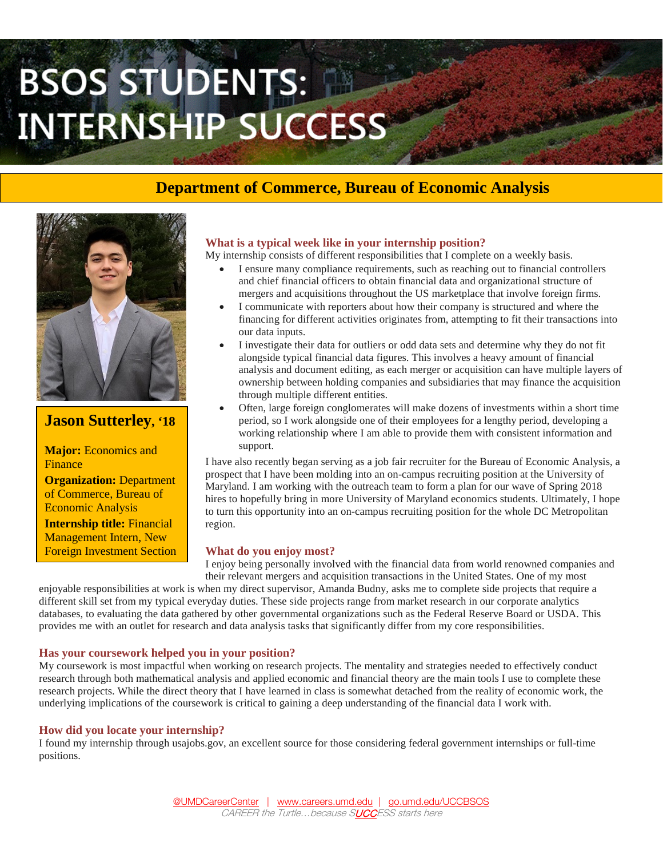# BSOS STUDENTS: **INTERNSHIP SUCCESS**

## **Department of Commerce, Bureau of Economic Analysis**



### **Jason Sutterley, '18**

**Major:** Economics and Finance

**Organization:** Department of Commerce, Bureau of Economic Analysis

**Internship title:** Financial Management Intern, New Foreign Investment Section

#### **What is a typical week like in your internship position?**

My internship consists of different responsibilities that I complete on a weekly basis.

- I ensure many compliance requirements, such as reaching out to financial controllers and chief financial officers to obtain financial data and organizational structure of mergers and acquisitions throughout the US marketplace that involve foreign firms.
- I communicate with reporters about how their company is structured and where the financing for different activities originates from, attempting to fit their transactions into our data inputs.
- I investigate their data for outliers or odd data sets and determine why they do not fit alongside typical financial data figures. This involves a heavy amount of financial analysis and document editing, as each merger or acquisition can have multiple layers of ownership between holding companies and subsidiaries that may finance the acquisition through multiple different entities.
- Often, large foreign conglomerates will make dozens of investments within a short time period, so I work alongside one of their employees for a lengthy period, developing a working relationship where I am able to provide them with consistent information and support.

I have also recently began serving as a job fair recruiter for the Bureau of Economic Analysis, a prospect that I have been molding into an on-campus recruiting position at the University of Maryland. I am working with the outreach team to form a plan for our wave of Spring 2018 hires to hopefully bring in more University of Maryland economics students. Ultimately, I hope to turn this opportunity into an on-campus recruiting position for the whole DC Metropolitan region.

#### **What do you enjoy most?**

I enjoy being personally involved with the financial data from world renowned companies and their relevant mergers and acquisition transactions in the United States. One of my most

enjoyable responsibilities at work is when my direct supervisor, Amanda Budny, asks me to complete side projects that require a different skill set from my typical everyday duties. These side projects range from market research in our corporate analytics databases, to evaluating the data gathered by other governmental organizations such as the Federal Reserve Board or USDA. This provides me with an outlet for research and data analysis tasks that significantly differ from my core responsibilities.

#### **Has your coursework helped you in your position?**

My coursework is most impactful when working on research projects. The mentality and strategies needed to effectively conduct research through both mathematical analysis and applied economic and financial theory are the main tools I use to complete these research projects. While the direct theory that I have learned in class is somewhat detached from the reality of economic work, the underlying implications of the coursework is critical to gaining a deep understanding of the financial data I work with.

#### **How did you locate your internship?**

I found my internship through usajobs.gov, an excellent source for those considering federal government internships or full-time positions.